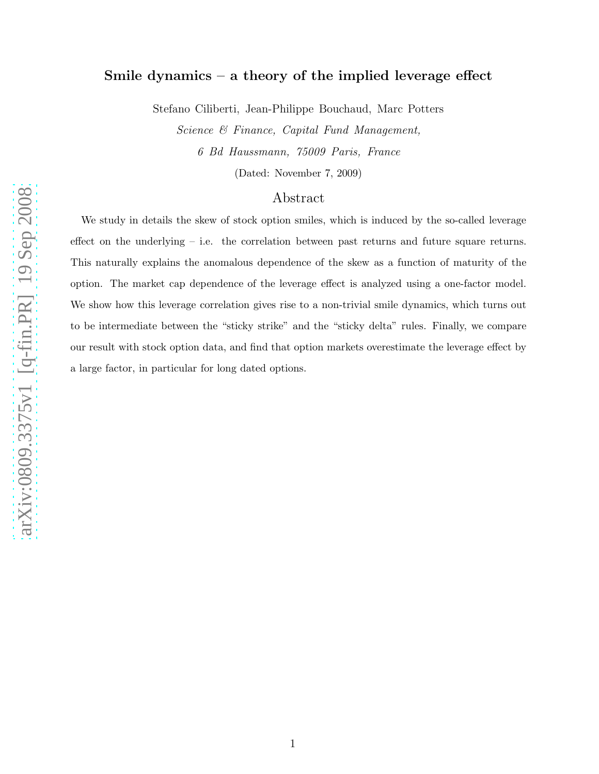## Smile dynamics – a theory of the implied leverage effect

Stefano Ciliberti, Jean-Philippe Bouchaud, Marc Potters Science & Finance, Capital Fund Management,

6 Bd Haussmann, 75009 Paris, France

(Dated: November 7, 2009)

## Abstract

We study in details the skew of stock option smiles, which is induced by the so-called leverage effect on the underlying  $-$  i.e. the correlation between past returns and future square returns. This naturally explains the anomalous dependence of the skew as a function of maturity of the option. The market cap dependence of the leverage effect is analyzed using a one-factor model. We show how this leverage correlation gives rise to a non-trivial smile dynamics, which turns out to be intermediate between the "sticky strike" and the "sticky delta" rules. Finally, we compare our result with stock option data, and find that option markets overestimate the leverage effect by a large factor, in particular for long dated options.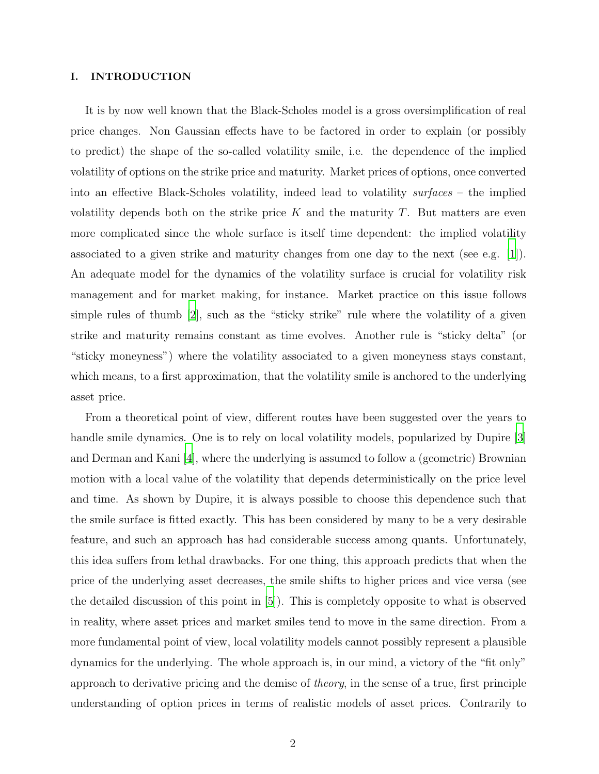#### I. INTRODUCTION

It is by now well known that the Black-Scholes model is a gross oversimplification of real price changes. Non Gaussian effects have to be factored in order to explain (or possibly to predict) the shape of the so-called volatility smile, i.e. the dependence of the implied volatility of options on the strike price and maturity. Market prices of options, once converted into an effective Black-Scholes volatility, indeed lead to volatility surfaces – the implied volatility depends both on the strike price  $K$  and the maturity  $T$ . But matters are even more complicated since the whole surface is itself time dependent: the implied volatility associated to a given strike and maturity changes from one day to the next (see e.g. [\[1](#page-10-0)]). An adequate model for the dynamics of the volatility surface is crucial for volatility risk management and for market making, for instance. Market practice on this issue follows simple rules of thumb [\[2](#page-10-1)], such as the "sticky strike" rule where the volatility of a given strike and maturity remains constant as time evolves. Another rule is "sticky delta" (or "sticky moneyness") where the volatility associated to a given moneyness stays constant, which means, to a first approximation, that the volatility smile is anchored to the underlying asset price.

From a theoretical point of view, different routes have been suggested over the years to handle smile dynamics. One is to rely on local volatility models, popularized by Dupire [\[3\]](#page-10-2) and Derman and Kani [\[4](#page-10-3)], where the underlying is assumed to follow a (geometric) Brownian motion with a local value of the volatility that depends deterministically on the price level and time. As shown by Dupire, it is always possible to choose this dependence such that the smile surface is fitted exactly. This has been considered by many to be a very desirable feature, and such an approach has had considerable success among quants. Unfortunately, this idea suffers from lethal drawbacks. For one thing, this approach predicts that when the price of the underlying asset decreases, the smile shifts to higher prices and vice versa (see the detailed discussion of this point in [\[5\]](#page-10-4)). This is completely opposite to what is observed in reality, where asset prices and market smiles tend to move in the same direction. From a more fundamental point of view, local volatility models cannot possibly represent a plausible dynamics for the underlying. The whole approach is, in our mind, a victory of the "fit only" approach to derivative pricing and the demise of *theory*, in the sense of a true, first principle understanding of option prices in terms of realistic models of asset prices. Contrarily to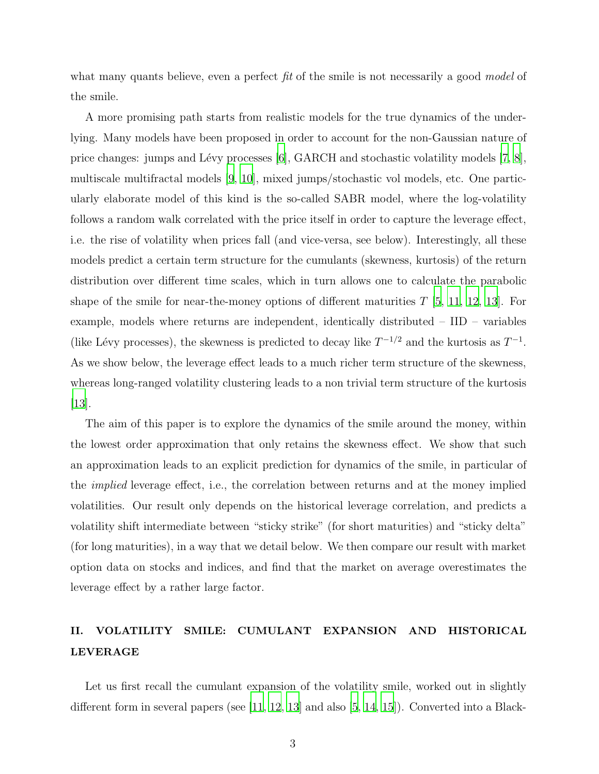what many quants believe, even a perfect fit of the smile is not necessarily a good model of the smile.

A more promising path starts from realistic models for the true dynamics of the underlying. Many models have been proposed in order to account for the non-Gaussian nature of price changes: jumps and Lévy processes  $[6]$ , GARCH and stochastic volatility models  $[7, 8]$  $[7, 8]$ , multiscale multifractal models [\[9](#page-12-2), [10](#page-12-3)], mixed jumps/stochastic vol models, etc. One particularly elaborate model of this kind is the so-called SABR model, where the log-volatility follows a random walk correlated with the price itself in order to capture the leverage effect, i.e. the rise of volatility when prices fall (and vice-versa, see below). Interestingly, all these models predict a certain term structure for the cumulants (skewness, kurtosis) of the return distribution over different time scales, which in turn allows one to calculate the parabolic shape of the smile for near-the-money options of different maturities  $T$  [\[5,](#page-10-4) [11](#page-12-4), [12](#page-12-5), [13\]](#page-12-6). For example, models where returns are independent, identically distributed – IID – variables (like Lévy processes), the skewness is predicted to decay like  $T^{-1/2}$  and the kurtosis as  $T^{-1}$ . As we show below, the leverage effect leads to a much richer term structure of the skewness, whereas long-ranged volatility clustering leads to a non trivial term structure of the kurtosis [\[13](#page-12-6)].

The aim of this paper is to explore the dynamics of the smile around the money, within the lowest order approximation that only retains the skewness effect. We show that such an approximation leads to an explicit prediction for dynamics of the smile, in particular of the implied leverage effect, i.e., the correlation between returns and at the money implied volatilities. Our result only depends on the historical leverage correlation, and predicts a volatility shift intermediate between "sticky strike" (for short maturities) and "sticky delta" (for long maturities), in a way that we detail below. We then compare our result with market option data on stocks and indices, and find that the market on average overestimates the leverage effect by a rather large factor.

# II. VOLATILITY SMILE: CUMULANT EXPANSION AND HISTORICAL LEVERAGE

Let us first recall the cumulant expansion of the volatility smile, worked out in slightly different form in several papers (see  $[11, 12, 13]$  $[11, 12, 13]$  $[11, 12, 13]$  and also  $[5, 14, 15]$  $[5, 14, 15]$  $[5, 14, 15]$  $[5, 14, 15]$  $[5, 14, 15]$ ). Converted into a Black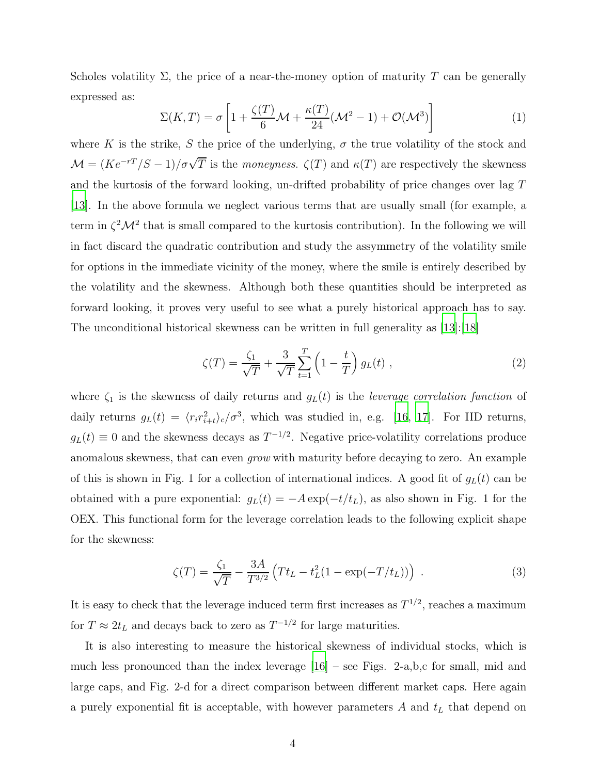Scholes volatility  $\Sigma$ , the price of a near-the-money option of maturity T can be generally expressed as:

$$
\Sigma(K,T) = \sigma \left[ 1 + \frac{\zeta(T)}{6} \mathcal{M} + \frac{\kappa(T)}{24} (\mathcal{M}^2 - 1) + \mathcal{O}(\mathcal{M}^3) \right]
$$
 (1)

where K is the strike, S the price of the underlying,  $\sigma$  the true volatility of the stock and  $\mathcal{M} = (Ke^{-rT}/S - 1)/\sigma\sqrt{T}$  is the moneyness.  $\zeta(T)$  and  $\kappa(T)$  are respectively the skewness and the kurtosis of the forward looking, un-drifted probability of price changes over lag T [\[13](#page-12-6)]. In the above formula we neglect various terms that are usually small (for example, a term in  $\zeta^2 \mathcal{M}^2$  that is small compared to the kurtosis contribution). In the following we will in fact discard the quadratic contribution and study the assymmetry of the volatility smile for options in the immediate vicinity of the money, where the smile is entirely described by the volatility and the skewness. Although both these quantities should be interpreted as forward looking, it proves very useful to see what a purely historical approach has to say. The unconditional historical skewness can be written in full generality as  $[13]:[18]$  $[13]:[18]$ 

<span id="page-3-0"></span>
$$
\zeta(T) = \frac{\zeta_1}{\sqrt{T}} + \frac{3}{\sqrt{T}} \sum_{t=1}^{T} \left( 1 - \frac{t}{T} \right) g_L(t) , \qquad (2)
$$

where  $\zeta_1$  is the skewness of daily returns and  $g_L(t)$  is the *leverage correlation function* of daily returns  $g_L(t) = \langle r_i r_{i+t}^2 \rangle_c / \sigma^3$ , which was studied in, e.g. [\[16](#page-13-3), [17\]](#page-13-4). For IID returns,  $g_L(t) \equiv 0$  and the skewness decays as  $T^{-1/2}$ . Negative price-volatility correlations produce anomalous skewness, that can even grow with maturity before decaying to zero. An example of this is shown in Fig. 1 for a collection of international indices. A good fit of  $g_L(t)$  can be obtained with a pure exponential:  $g_L(t) = -A \exp(-t/t_L)$ , as also shown in Fig. 1 for the OEX. This functional form for the leverage correlation leads to the following explicit shape for the skewness:

<span id="page-3-1"></span>
$$
\zeta(T) = \frac{\zeta_1}{\sqrt{T}} - \frac{3A}{T^{3/2}} \left( Tt_L - t_L^2 (1 - \exp(-T/t_L)) \right) . \tag{3}
$$

It is easy to check that the leverage induced term first increases as  $T^{1/2}$ , reaches a maximum for  $T \approx 2t_L$  and decays back to zero as  $T^{-1/2}$  for large maturities.

It is also interesting to measure the historical skewness of individual stocks, which is much less pronounced than the index leverage  $[16]$  – see Figs. 2-a,b,c for small, mid and large caps, and Fig. 2-d for a direct comparison between different market caps. Here again a purely exponential fit is acceptable, with however parameters  $A$  and  $t_L$  that depend on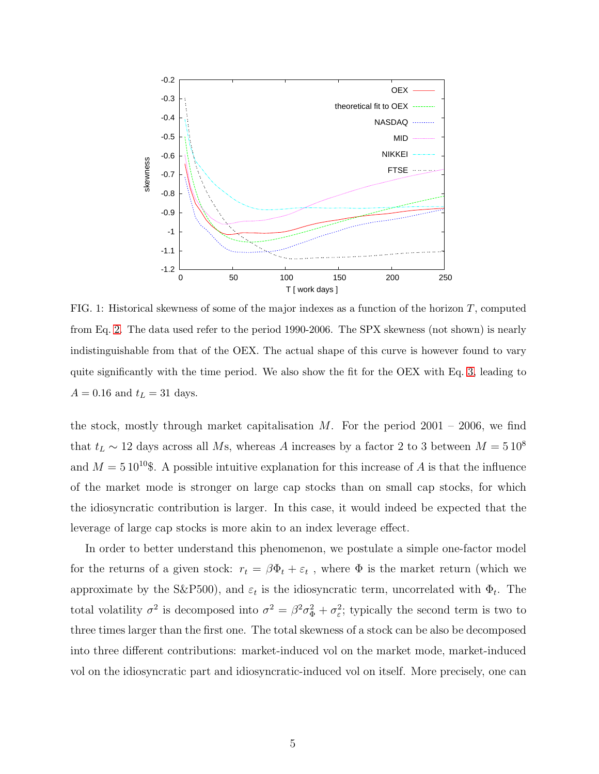

FIG. 1: Historical skewness of some of the major indexes as a function of the horizon  $T$ , computed from Eq. [2.](#page-3-0) The data used refer to the period 1990-2006. The SPX skewness (not shown) is nearly indistinguishable from that of the OEX. The actual shape of this curve is however found to vary quite significantly with the time period. We also show the fit for the OEX with Eq. [3,](#page-3-1) leading to  $A = 0.16$  and  $t_L = 31$  days.

the stock, mostly through market capitalisation  $M$ . For the period 2001 – 2006, we find that  $t_L \sim 12$  days across all Ms, whereas A increases by a factor 2 to 3 between  $M = 5 \, 10^8$ and  $M = 510^{10}$ . A possible intuitive explanation for this increase of A is that the influence of the market mode is stronger on large cap stocks than on small cap stocks, for which the idiosyncratic contribution is larger. In this case, it would indeed be expected that the leverage of large cap stocks is more akin to an index leverage effect.

In order to better understand this phenomenon, we postulate a simple one-factor model for the returns of a given stock:  $r_t = \beta \Phi_t + \varepsilon_t$ , where  $\Phi$  is the market return (which we approximate by the S&P500), and  $\varepsilon_t$  is the idiosyncratic term, uncorrelated with  $\Phi_t$ . The total volatility  $\sigma^2$  is decomposed into  $\sigma^2 = \beta^2 \sigma_{\Phi}^2 + \sigma_{\varepsilon}^2$  $\epsilon$ ; typically the second term is two to three times larger than the first one. The total skewness of a stock can be also be decomposed into three different contributions: market-induced vol on the market mode, market-induced vol on the idiosyncratic part and idiosyncratic-induced vol on itself. More precisely, one can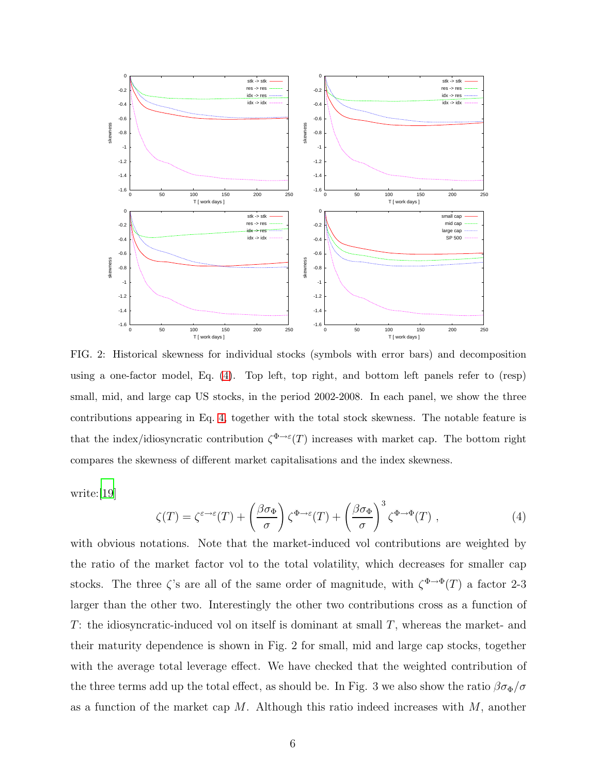

FIG. 2: Historical skewness for individual stocks (symbols with error bars) and decomposition using a one-factor model, Eq. [\(4\)](#page-5-0). Top left, top right, and bottom left panels refer to (resp) small, mid, and large cap US stocks, in the period 2002-2008. In each panel, we show the three contributions appearing in Eq. [4,](#page-5-0) together with the total stock skewness. The notable feature is that the index/idiosyncratic contribution  $\zeta^{\Phi \to \varepsilon}(T)$  increases with market cap. The bottom right compares the skewness of different market capitalisations and the index skewness.

write:[\[19](#page-13-5)]

<span id="page-5-0"></span>
$$
\zeta(T) = \zeta^{\varepsilon \to \varepsilon}(T) + \left(\frac{\beta \sigma_{\Phi}}{\sigma}\right) \zeta^{\Phi \to \varepsilon}(T) + \left(\frac{\beta \sigma_{\Phi}}{\sigma}\right)^3 \zeta^{\Phi \to \Phi}(T) , \qquad (4)
$$

with obvious notations. Note that the market-induced vol contributions are weighted by the ratio of the market factor vol to the total volatility, which decreases for smaller cap stocks. The three  $\zeta$ 's are all of the same order of magnitude, with  $\zeta^{\Phi \to \Phi}(T)$  a factor 2-3 larger than the other two. Interestingly the other two contributions cross as a function of T: the idiosyncratic-induced vol on itself is dominant at small  $T$ , whereas the market- and their maturity dependence is shown in Fig. 2 for small, mid and large cap stocks, together with the average total leverage effect. We have checked that the weighted contribution of the three terms add up the total effect, as should be. In Fig. 3 we also show the ratio  $\beta \sigma_{\Phi}/\sigma$ as a function of the market cap  $M$ . Although this ratio indeed increases with  $M$ , another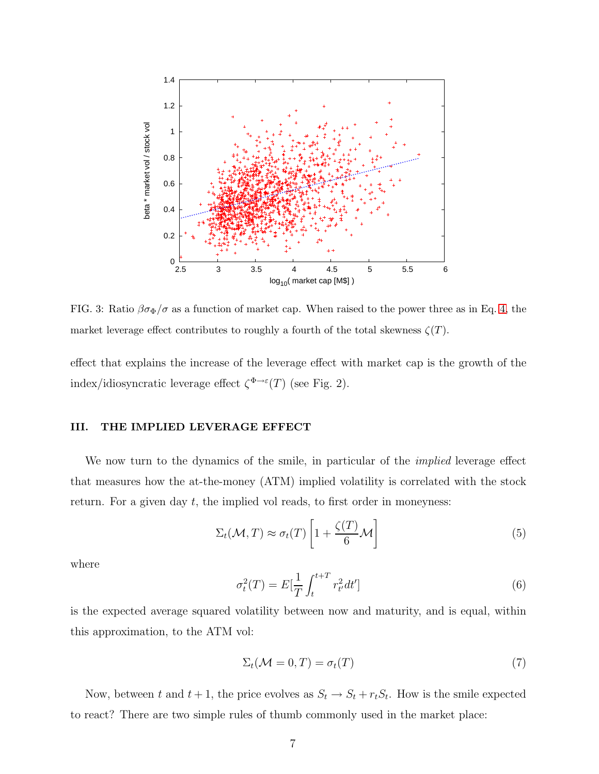

FIG. 3: Ratio  $\beta \sigma_{\Phi}/\sigma$  as a function of market cap. When raised to the power three as in Eq. [4,](#page-5-0) the market leverage effect contributes to roughly a fourth of the total skewness  $\zeta(T)$ .

effect that explains the increase of the leverage effect with market cap is the growth of the index/idiosyncratic leverage effect  $\zeta^{\Phi \to \varepsilon}(T)$  (see Fig. 2).

### III. THE IMPLIED LEVERAGE EFFECT

We now turn to the dynamics of the smile, in particular of the *implied* leverage effect that measures how the at-the-money (ATM) implied volatility is correlated with the stock return. For a given day  $t$ , the implied vol reads, to first order in moneyness:

<span id="page-6-0"></span>
$$
\Sigma_t(\mathcal{M}, T) \approx \sigma_t(T) \left[ 1 + \frac{\zeta(T)}{6} \mathcal{M} \right]
$$
\n(5)

where

$$
\sigma_t^2(T) = E[\frac{1}{T} \int_t^{t+T} r_{t'}^2 dt'] \tag{6}
$$

is the expected average squared volatility between now and maturity, and is equal, within this approximation, to the ATM vol:

$$
\Sigma_t(\mathcal{M}=0,T)=\sigma_t(T) \tag{7}
$$

Now, between t and  $t + 1$ , the price evolves as  $S_t \to S_t + r_t S_t$ . How is the smile expected to react? There are two simple rules of thumb commonly used in the market place: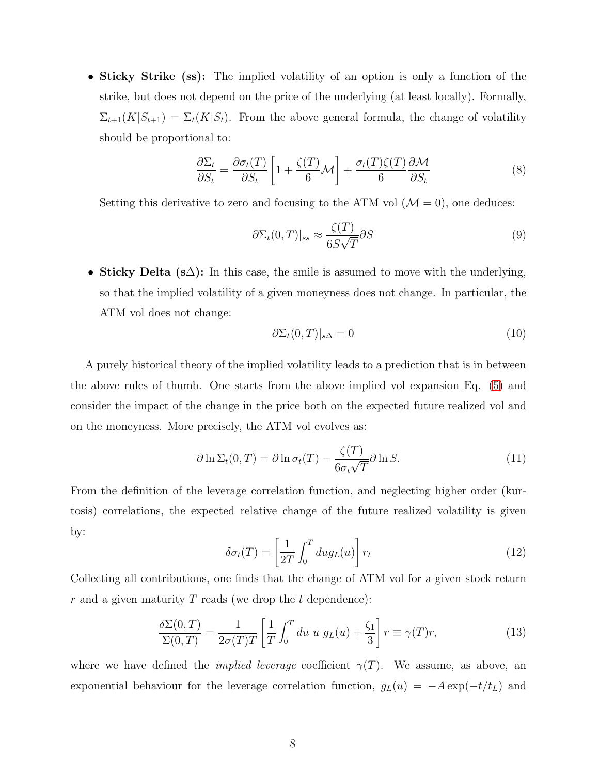• Sticky Strike (ss): The implied volatility of an option is only a function of the strike, but does not depend on the price of the underlying (at least locally). Formally,  $\Sigma_{t+1}(K|S_{t+1}) = \Sigma_t(K|S_t)$ . From the above general formula, the change of volatility should be proportional to:

$$
\frac{\partial \Sigma_t}{\partial S_t} = \frac{\partial \sigma_t(T)}{\partial S_t} \left[ 1 + \frac{\zeta(T)}{6} \mathcal{M} \right] + \frac{\sigma_t(T)\zeta(T)}{6} \frac{\partial \mathcal{M}}{\partial S_t}
$$
(8)

Setting this derivative to zero and focusing to the ATM vol  $(M = 0)$ , one deduces:

$$
\partial \Sigma_t(0,T)|_{ss} \approx \frac{\zeta(T)}{6S\sqrt{T}} \partial S \tag{9}
$$

• Sticky Delta  $(s\Delta)$ : In this case, the smile is assumed to move with the underlying, so that the implied volatility of a given moneyness does not change. In particular, the ATM vol does not change:

$$
\partial \Sigma_t(0,T)|_{s\Delta} = 0 \tag{10}
$$

A purely historical theory of the implied volatility leads to a prediction that is in between the above rules of thumb. One starts from the above implied vol expansion Eq. [\(5\)](#page-6-0) and consider the impact of the change in the price both on the expected future realized vol and on the moneyness. More precisely, the ATM vol evolves as:

$$
\partial \ln \Sigma_t(0,T) = \partial \ln \sigma_t(T) - \frac{\zeta(T)}{6\sigma_t \sqrt{T}} \partial \ln S. \tag{11}
$$

From the definition of the leverage correlation function, and neglecting higher order (kurtosis) correlations, the expected relative change of the future realized volatility is given by:

$$
\delta \sigma_t(T) = \left[\frac{1}{2T} \int_0^T du g_L(u)\right] r_t \tag{12}
$$

Collecting all contributions, one finds that the change of ATM vol for a given stock return r and a given maturity T reads (we drop the t dependence):

$$
\frac{\delta \Sigma(0,T)}{\Sigma(0,T)} = \frac{1}{2\sigma(T)T} \left[ \frac{1}{T} \int_0^T du \ u \ g_L(u) + \frac{\zeta_1}{3} \right] r \equiv \gamma(T)r,\tag{13}
$$

where we have defined the *implied leverage* coefficient  $\gamma(T)$ . We assume, as above, an exponential behaviour for the leverage correlation function,  $g_L(u) = -A \exp(-t/t_L)$  and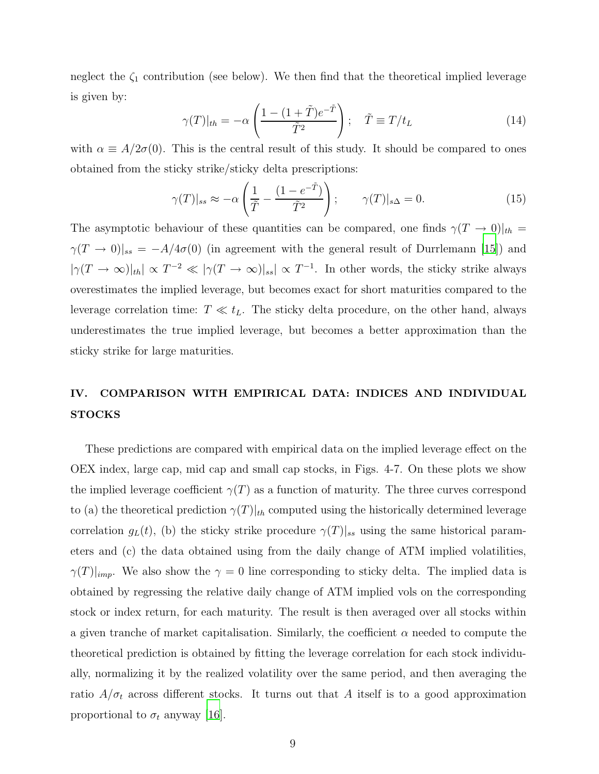neglect the  $\zeta_1$  contribution (see below). We then find that the theoretical implied leverage is given by:

$$
\gamma(T)|_{th} = -\alpha \left( \frac{1 - (1 + \tilde{T})e^{-\tilde{T}}}{\tilde{T}^2} \right); \quad \tilde{T} \equiv T/t_L \tag{14}
$$

with  $\alpha \equiv A/2\sigma(0)$ . This is the central result of this study. It should be compared to ones obtained from the sticky strike/sticky delta prescriptions:

$$
\gamma(T)|_{ss} \approx -\alpha \left(\frac{1}{\tilde{T}} - \frac{(1 - e^{-\tilde{T}})}{\tilde{T}^2}\right); \qquad \gamma(T)|_{s\Delta} = 0. \tag{15}
$$

The asymptotic behaviour of these quantities can be compared, one finds  $\gamma(T \to 0)|_{th} =$  $\gamma(T \to 0)|_{ss} = -A/4\sigma(0)$  (in agreement with the general result of Durrlemann [\[15\]](#page-13-1)) and  $|\gamma(T \to \infty)|_{th}| \propto T^{-2} \ll |\gamma(T \to \infty)|_{ss}| \propto T^{-1}$ . In other words, the sticky strike always overestimates the implied leverage, but becomes exact for short maturities compared to the leverage correlation time:  $T \ll t_L$ . The sticky delta procedure, on the other hand, always underestimates the true implied leverage, but becomes a better approximation than the sticky strike for large maturities.

# IV. COMPARISON WITH EMPIRICAL DATA: INDICES AND INDIVIDUAL **STOCKS**

These predictions are compared with empirical data on the implied leverage effect on the OEX index, large cap, mid cap and small cap stocks, in Figs. 4-7. On these plots we show the implied leverage coefficient  $\gamma(T)$  as a function of maturity. The three curves correspond to (a) the theoretical prediction  $\gamma(T)|_{th}$  computed using the historically determined leverage correlation  $g_L(t)$ , (b) the sticky strike procedure  $\gamma(T)|_{ss}$  using the same historical parameters and (c) the data obtained using from the daily change of ATM implied volatilities,  $\gamma(T)|_{imp}$ . We also show the  $\gamma = 0$  line corresponding to sticky delta. The implied data is obtained by regressing the relative daily change of ATM implied vols on the corresponding stock or index return, for each maturity. The result is then averaged over all stocks within a given tranche of market capitalisation. Similarly, the coefficient  $\alpha$  needed to compute the theoretical prediction is obtained by fitting the leverage correlation for each stock individually, normalizing it by the realized volatility over the same period, and then averaging the ratio  $A/\sigma_t$  across different stocks. It turns out that A itself is to a good approximation proportional to  $\sigma_t$  anyway [\[16\]](#page-13-3).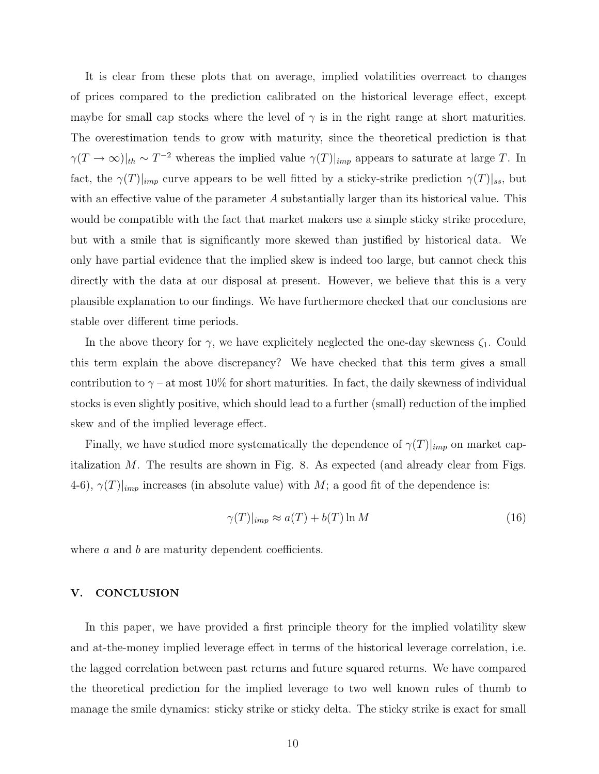It is clear from these plots that on average, implied volatilities overreact to changes of prices compared to the prediction calibrated on the historical leverage effect, except maybe for small cap stocks where the level of  $\gamma$  is in the right range at short maturities. The overestimation tends to grow with maturity, since the theoretical prediction is that  $\gamma(T \to \infty)|_{th} \sim T^{-2}$  whereas the implied value  $\gamma(T)|_{imp}$  appears to saturate at large T. In fact, the  $\gamma(T)|_{imp}$  curve appears to be well fitted by a sticky-strike prediction  $\gamma(T)|_{ss}$ , but with an effective value of the parameter A substantially larger than its historical value. This would be compatible with the fact that market makers use a simple sticky strike procedure, but with a smile that is significantly more skewed than justified by historical data. We only have partial evidence that the implied skew is indeed too large, but cannot check this directly with the data at our disposal at present. However, we believe that this is a very plausible explanation to our findings. We have furthermore checked that our conclusions are stable over different time periods.

In the above theory for  $\gamma$ , we have explicitely neglected the one-day skewness  $\zeta_1$ . Could this term explain the above discrepancy? We have checked that this term gives a small contribution to  $\gamma$  – at most 10% for short maturities. In fact, the daily skewness of individual stocks is even slightly positive, which should lead to a further (small) reduction of the implied skew and of the implied leverage effect.

Finally, we have studied more systematically the dependence of  $\gamma(T)|_{imp}$  on market capitalization M. The results are shown in Fig. 8. As expected (and already clear from Figs. 4-6),  $\gamma(T)|_{imp}$  increases (in absolute value) with M; a good fit of the dependence is:

$$
\gamma(T)|_{imp} \approx a(T) + b(T) \ln M \tag{16}
$$

where  $a$  and  $b$  are maturity dependent coefficients.

#### V. CONCLUSION

In this paper, we have provided a first principle theory for the implied volatility skew and at-the-money implied leverage effect in terms of the historical leverage correlation, i.e. the lagged correlation between past returns and future squared returns. We have compared the theoretical prediction for the implied leverage to two well known rules of thumb to manage the smile dynamics: sticky strike or sticky delta. The sticky strike is exact for small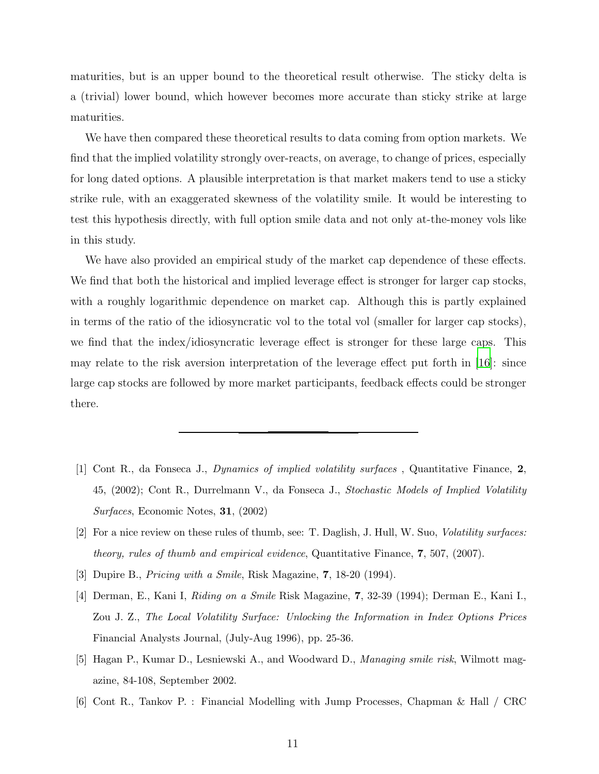maturities, but is an upper bound to the theoretical result otherwise. The sticky delta is a (trivial) lower bound, which however becomes more accurate than sticky strike at large maturities.

We have then compared these theoretical results to data coming from option markets. We find that the implied volatility strongly over-reacts, on average, to change of prices, especially for long dated options. A plausible interpretation is that market makers tend to use a sticky strike rule, with an exaggerated skewness of the volatility smile. It would be interesting to test this hypothesis directly, with full option smile data and not only at-the-money vols like in this study.

We have also provided an empirical study of the market cap dependence of these effects. We find that both the historical and implied leverage effect is stronger for larger cap stocks, with a roughly logarithmic dependence on market cap. Although this is partly explained in terms of the ratio of the idiosyncratic vol to the total vol (smaller for larger cap stocks), we find that the index/idiosyncratic leverage effect is stronger for these large caps. This may relate to the risk aversion interpretation of the leverage effect put forth in [\[16\]](#page-13-3): since large cap stocks are followed by more market participants, feedback effects could be stronger there.

- <span id="page-10-0"></span>[1] Cont R., da Fonseca J., Dynamics of implied volatility surfaces , Quantitative Finance, 2, 45, (2002); Cont R., Durrelmann V., da Fonseca J., Stochastic Models of Implied Volatility Surfaces, Economic Notes, 31, (2002)
- <span id="page-10-1"></span>[2] For a nice review on these rules of thumb, see: T. Daglish, J. Hull, W. Suo, Volatility surfaces: theory, rules of thumb and empirical evidence, Quantitative Finance, 7, 507, (2007).
- <span id="page-10-2"></span>[3] Dupire B., Pricing with a Smile, Risk Magazine, 7, 18-20 (1994).
- <span id="page-10-3"></span>[4] Derman, E., Kani I, Riding on a Smile Risk Magazine, 7, 32-39 (1994); Derman E., Kani I., Zou J. Z., The Local Volatility Surface: Unlocking the Information in Index Options Prices Financial Analysts Journal, (July-Aug 1996), pp. 25-36.
- <span id="page-10-4"></span>[5] Hagan P., Kumar D., Lesniewski A., and Woodward D., Managing smile risk, Wilmott magazine, 84-108, September 2002.
- <span id="page-10-5"></span>[6] Cont R., Tankov P. : Financial Modelling with Jump Processes, Chapman & Hall / CRC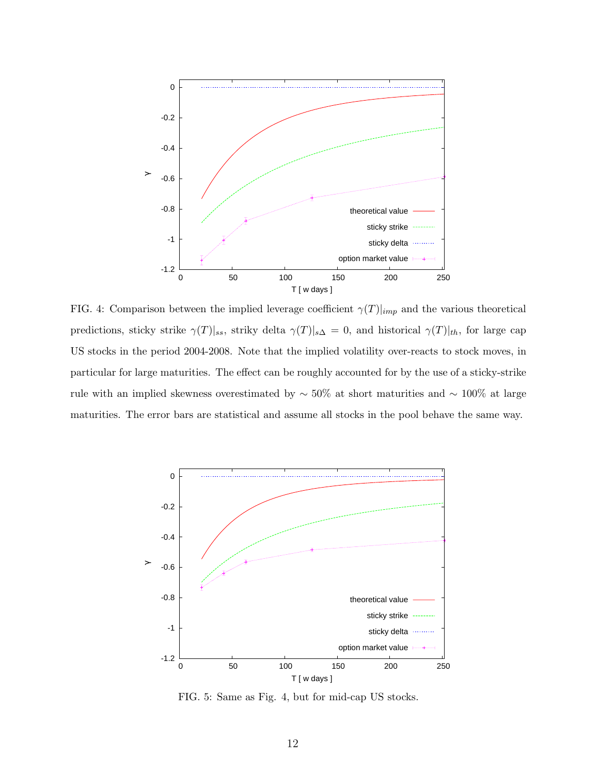

FIG. 4: Comparison between the implied leverage coefficient  $\gamma(T)|_{imp}$  and the various theoretical predictions, sticky strike  $\gamma(T)|_{ss}$ , striky delta  $\gamma(T)|_{s\Delta} = 0$ , and historical  $\gamma(T)|_{th}$ , for large cap US stocks in the period 2004-2008. Note that the implied volatility over-reacts to stock moves, in particular for large maturities. The effect can be roughly accounted for by the use of a sticky-strike rule with an implied skewness overestimated by  $\sim 50\%$  at short maturities and  $\sim 100\%$  at large maturities. The error bars are statistical and assume all stocks in the pool behave the same way.



FIG. 5: Same as Fig. 4, but for mid-cap US stocks.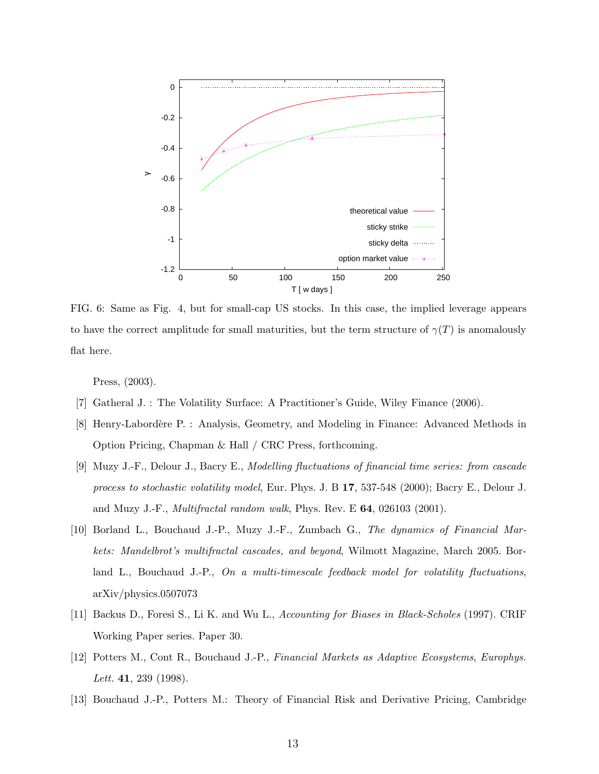

FIG. 6: Same as Fig. 4, but for small-cap US stocks. In this case, the implied leverage appears to have the correct amplitude for small maturities, but the term structure of  $\gamma(T)$  is anomalously flat here.

Press, (2003).

- <span id="page-12-0"></span>[7] Gatheral J. : The Volatility Surface: A Practitioner's Guide, Wiley Finance (2006).
- <span id="page-12-1"></span>[8] Henry-Labordère P. : Analysis, Geometry, and Modeling in Finance: Advanced Methods in Option Pricing, Chapman & Hall / CRC Press, forthcoming.
- <span id="page-12-2"></span>[9] Muzy J.-F., Delour J., Bacry E., Modelling fluctuations of financial time series: from cascade process to stochastic volatility model, Eur. Phys. J. B 17, 537-548 (2000); Bacry E., Delour J. and Muzy J.-F., Multifractal random walk, Phys. Rev. E 64, 026103 (2001).
- <span id="page-12-3"></span>[10] Borland L., Bouchaud J.-P., Muzy J.-F., Zumbach G., The dynamics of Financial Markets: Mandelbrot's multifractal cascades, and beyond, Wilmott Magazine, March 2005. Borland L., Bouchaud J.-P., On a multi-timescale feedback model for volatility fluctuations, arXiv/physics.0507073
- <span id="page-12-4"></span>[11] Backus D., Foresi S., Li K. and Wu L., Accounting for Biases in Black-Scholes (1997). CRIF Working Paper series. Paper 30.
- <span id="page-12-5"></span>[12] Potters M., Cont R., Bouchaud J.-P., Financial Markets as Adaptive Ecosystems, Europhys. Lett. **41**, 239 (1998).
- <span id="page-12-6"></span>[13] Bouchaud J.-P., Potters M.: Theory of Financial Risk and Derivative Pricing, Cambridge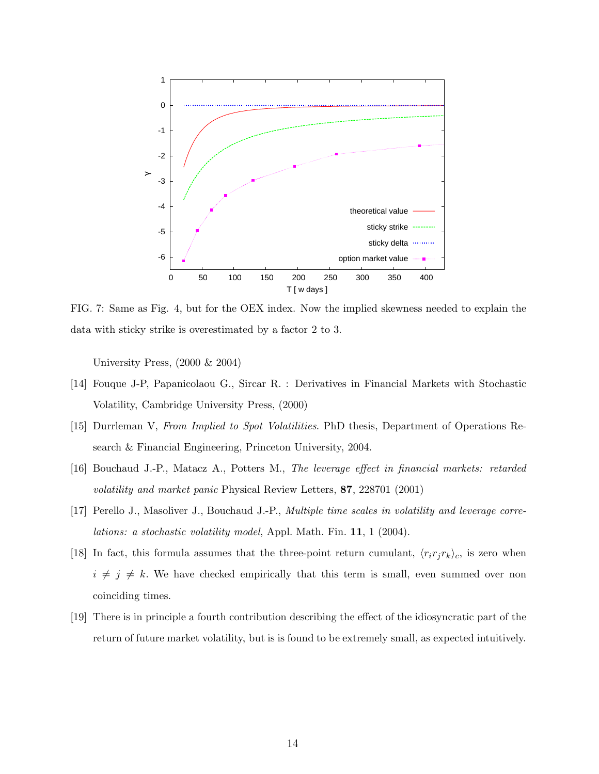

FIG. 7: Same as Fig. 4, but for the OEX index. Now the implied skewness needed to explain the data with sticky strike is overestimated by a factor 2 to 3.

University Press, (2000 & 2004)

- <span id="page-13-0"></span>[14] Fouque J-P, Papanicolaou G., Sircar R. : Derivatives in Financial Markets with Stochastic Volatility, Cambridge University Press, (2000)
- <span id="page-13-1"></span>[15] Durrleman V, From Implied to Spot Volatilities. PhD thesis, Department of Operations Research & Financial Engineering, Princeton University, 2004.
- <span id="page-13-3"></span>[16] Bouchaud J.-P., Matacz A., Potters M., The leverage effect in financial markets: retarded volatility and market panic Physical Review Letters, 87, 228701 (2001)
- <span id="page-13-4"></span>[17] Perello J., Masoliver J., Bouchaud J.-P., Multiple time scales in volatility and leverage correlations: a stochastic volatility model, Appl. Math. Fin. 11, 1 (2004).
- <span id="page-13-2"></span>[18] In fact, this formula assumes that the three-point return cumulant,  $\langle r_i r_j r_k \rangle_c$ , is zero when  $i \neq j \neq k$ . We have checked empirically that this term is small, even summed over non coinciding times.
- <span id="page-13-5"></span>[19] There is in principle a fourth contribution describing the effect of the idiosyncratic part of the return of future market volatility, but is is found to be extremely small, as expected intuitively.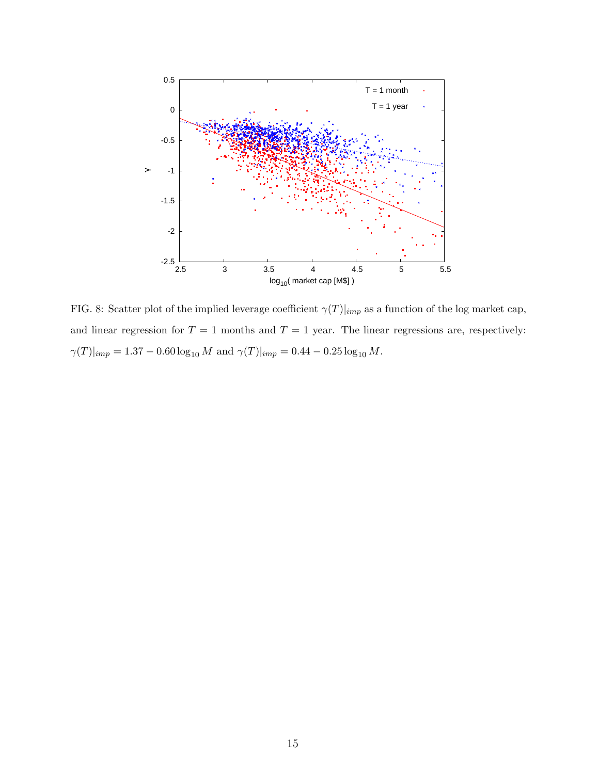

FIG. 8: Scatter plot of the implied leverage coefficient  $\gamma(T)|_{imp}$  as a function of the log market cap, and linear regression for  $T = 1$  months and  $T = 1$  year. The linear regressions are, respectively:  $\gamma(T)|_{imp} = 1.37 - 0.60 \log_{10} M$  and  $\gamma(T)|_{imp} = 0.44 - 0.25 \log_{10} M.$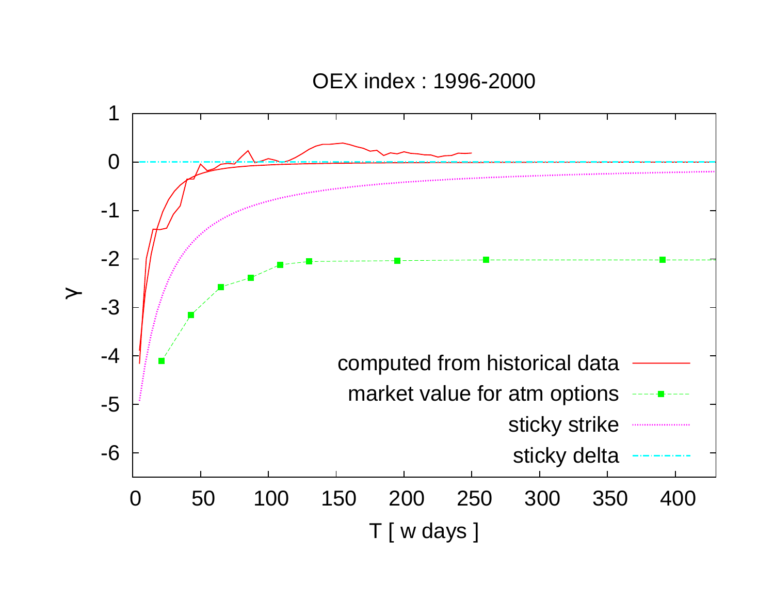

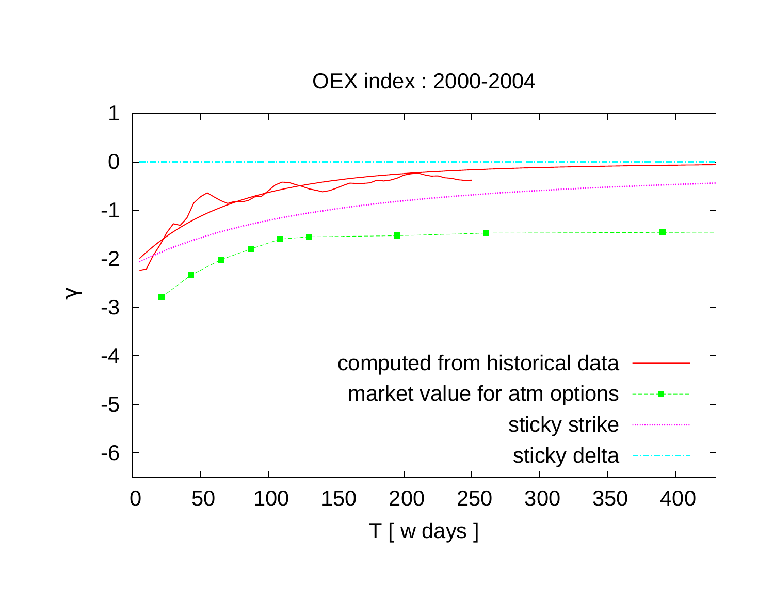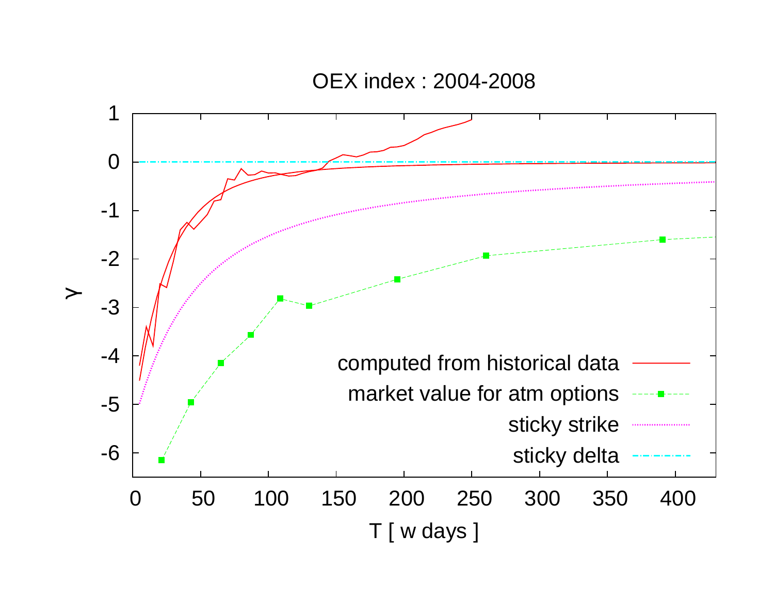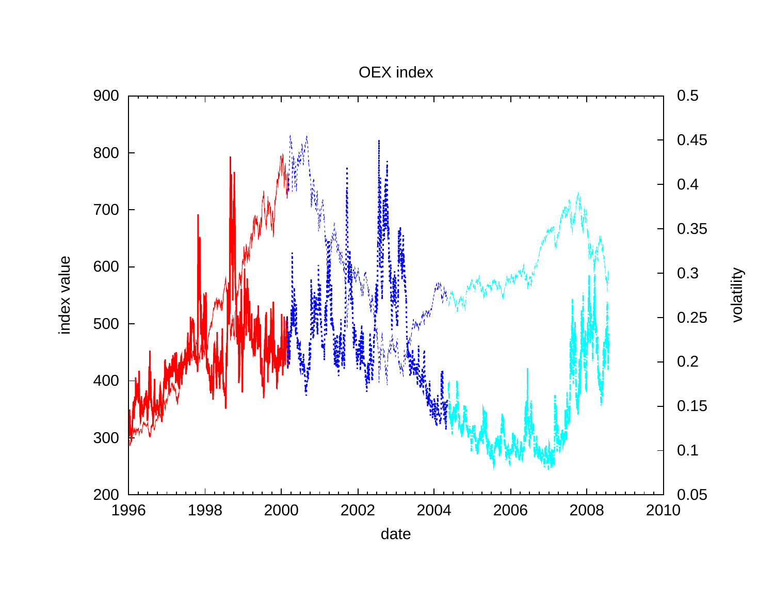OEX index



volatility